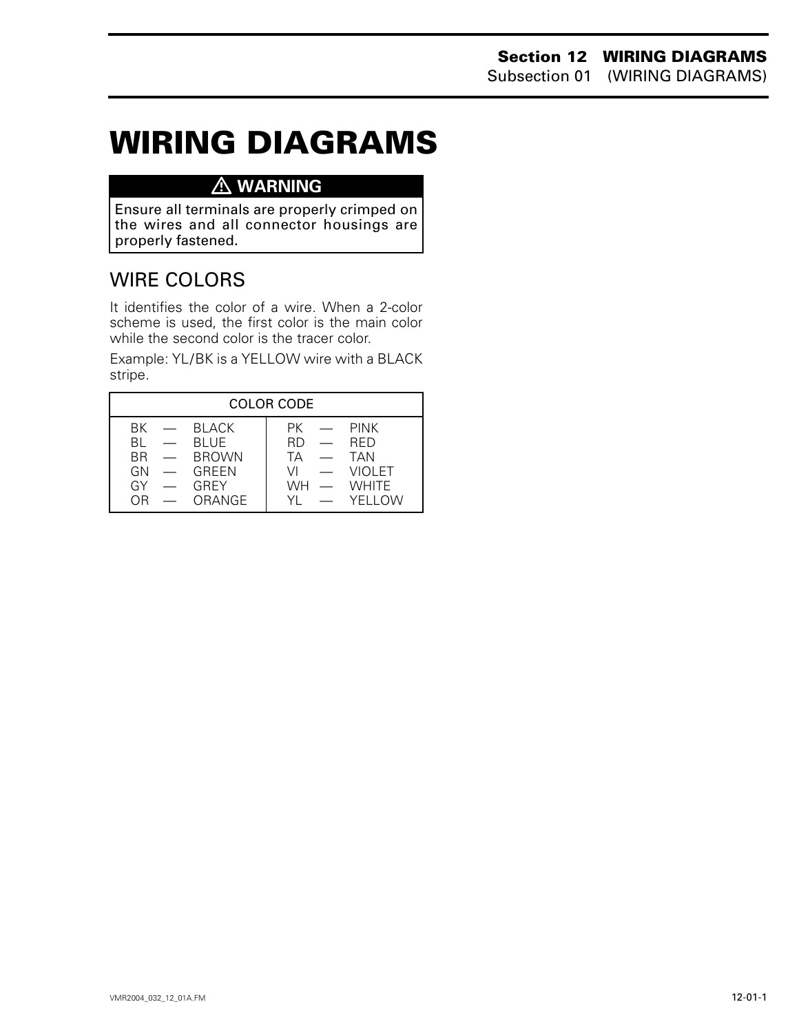# **WIRING DIAGRAMS 0**

## **WARNING**

Ensure all terminals are properly crimped on the wires and all connector housings are properly fastened.

# WIRE COLORS

It identifies the color of a wire. When a 2-color scheme is used, the first color is the main color while the second color is the tracer color.

Example: YL/BK is a YELLOW wire with a BLACK stripe.

| <b>COLOR CODE</b>                                               |                                                                                                                     |
|-----------------------------------------------------------------|---------------------------------------------------------------------------------------------------------------------|
| $BK$ $-$ BIACK<br>— BIUF<br>RL.<br>BR — BROWN<br>$GN$ $-$ GRFFN | $PK$ — PINK<br><b>RFD</b><br>RD.<br><b>Contract Contract Contract Contract</b><br>TA —<br><b>TAN</b><br>VI — VIOLET |
| <b>GREY</b><br>$GY =$<br>— ORANGE<br>OR.                        | $WH - WHITF$<br>YI — YFIIOW                                                                                         |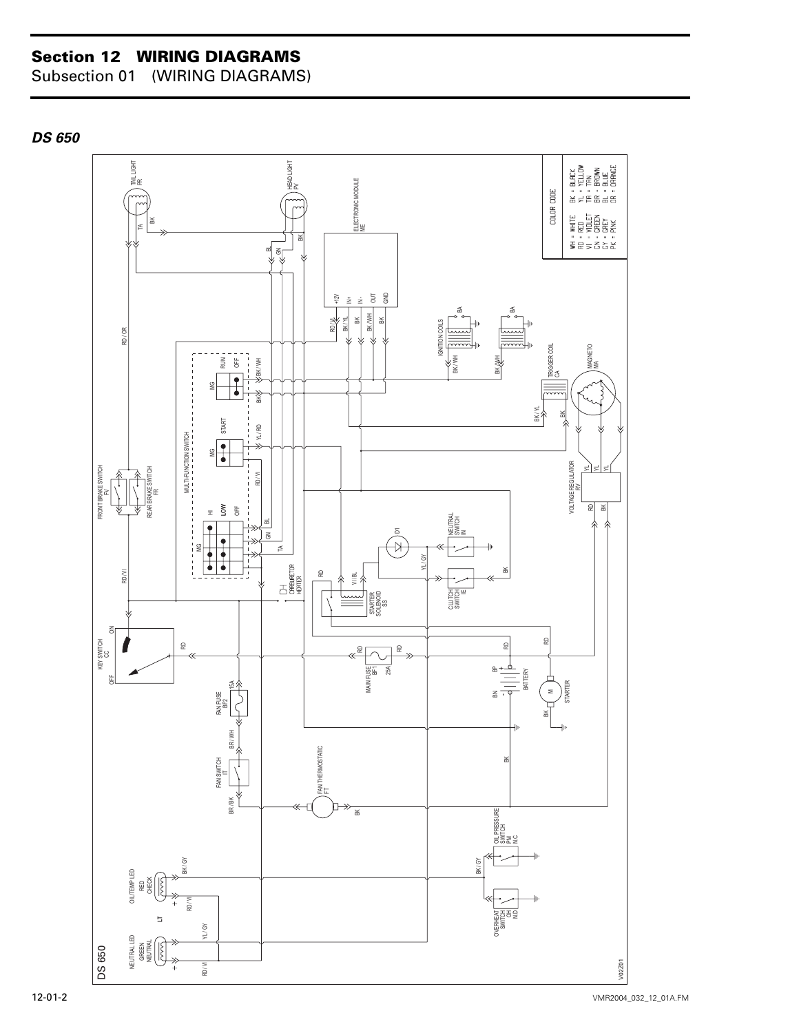### **Section 12 WIRING DIAGRAMS**

Subsection 01 (WIRING DIAGRAMS)

*DS 650*